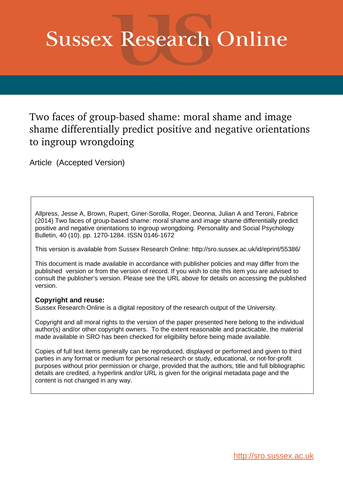# **Sussex Research Online**

Two faces of group-based shame: moral shame and image shame differentially predict positive and negative orientations to ingroup wrongdoing

Article (Accepted Version)

Allpress, Jesse A, Brown, Rupert, Giner-Sorolla, Roger, Deonna, Julian A and Teroni, Fabrice (2014) Two faces of group-based shame: moral shame and image shame differentially predict positive and negative orientations to ingroup wrongdoing. Personality and Social Psychology Bulletin, 40 (10). pp. 1270-1284. ISSN 0146-1672

This version is available from Sussex Research Online: http://sro.sussex.ac.uk/id/eprint/55386/

This document is made available in accordance with publisher policies and may differ from the published version or from the version of record. If you wish to cite this item you are advised to consult the publisher's version. Please see the URL above for details on accessing the published version.

### **Copyright and reuse:**

Sussex Research Online is a digital repository of the research output of the University.

Copyright and all moral rights to the version of the paper presented here belong to the individual author(s) and/or other copyright owners. To the extent reasonable and practicable, the material made available in SRO has been checked for eligibility before being made available.

Copies of full text items generally can be reproduced, displayed or performed and given to third parties in any format or medium for personal research or study, educational, or not-for-profit purposes without prior permission or charge, provided that the authors, title and full bibliographic details are credited, a hyperlink and/or URL is given for the original metadata page and the content is not changed in any way.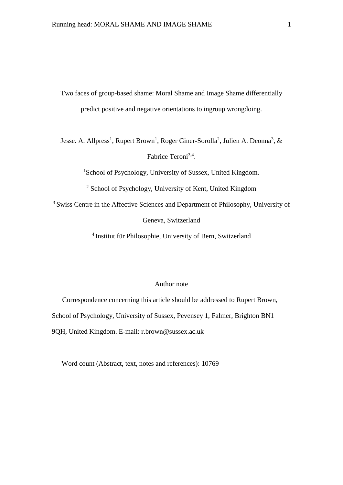Two faces of group-based shame: Moral Shame and Image Shame differentially predict positive and negative orientations to ingroup wrongdoing.

Jesse. A. Allpress<sup>1</sup>, Rupert Brown<sup>1</sup>, Roger Giner-Sorolla<sup>2</sup>, Julien A. Deonna<sup>3</sup>, & Fabrice Teroni<sup>3,4</sup>.

<sup>1</sup>School of Psychology, University of Sussex, United Kingdom.

<sup>2</sup> School of Psychology, University of Kent, United Kingdom

<sup>3</sup> Swiss Centre in the Affective Sciences and Department of Philosophy, University of Geneva, Switzerland

4 Institut für Philosophie, University of Bern, Switzerland

#### Author note

Correspondence concerning this article should be addressed to Rupert Brown, School of Psychology, University of Sussex, Pevensey 1, Falmer, Brighton BN1 9QH, United Kingdom. E-mail: r.brown@sussex.ac.uk

Word count (Abstract, text, notes and references): 10769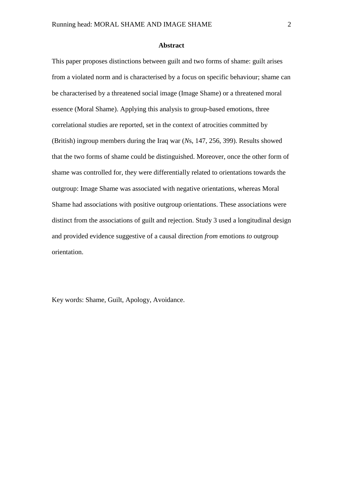#### **Abstract**

This paper proposes distinctions between guilt and two forms of shame: guilt arises from a violated norm and is characterised by a focus on specific behaviour; shame can be characterised by a threatened social image (Image Shame) or a threatened moral essence (Moral Shame). Applying this analysis to group-based emotions, three correlational studies are reported, set in the context of atrocities committed by (British) ingroup members during the Iraq war (*N*s, 147, 256, 399). Results showed that the two forms of shame could be distinguished. Moreover, once the other form of shame was controlled for, they were differentially related to orientations towards the outgroup: Image Shame was associated with negative orientations, whereas Moral Shame had associations with positive outgroup orientations. These associations were distinct from the associations of guilt and rejection. Study 3 used a longitudinal design and provided evidence suggestive of a causal direction *from* emotions *to* outgroup orientation.

Key words: Shame, Guilt, Apology, Avoidance.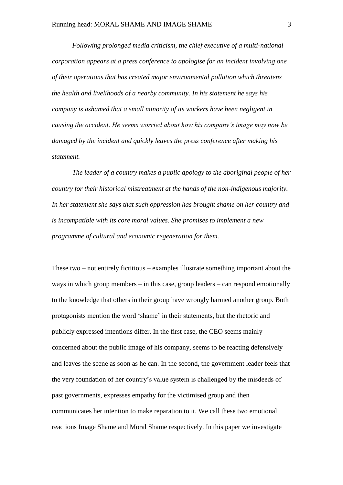*Following prolonged media criticism, the chief executive of a multi-national corporation appears at a press conference to apologise for an incident involving one of their operations that has created major environmental pollution which threatens the health and livelihoods of a nearby community. In his statement he says his company is ashamed that a small minority of its workers have been negligent in causing the accident. He seems worried about how his company's image may now be damaged by the incident and quickly leaves the press conference after making his statement.*

*The leader of a country makes a public apology to the aboriginal people of her country for their historical mistreatment at the hands of the non-indigenous majority. In her statement she says that such oppression has brought shame on her country and is incompatible with its core moral values. She promises to implement a new programme of cultural and economic regeneration for them.* 

These two – not entirely fictitious – examples illustrate something important about the ways in which group members – in this case, group leaders – can respond emotionally to the knowledge that others in their group have wrongly harmed another group. Both protagonists mention the word 'shame' in their statements, but the rhetoric and publicly expressed intentions differ. In the first case, the CEO seems mainly concerned about the public image of his company, seems to be reacting defensively and leaves the scene as soon as he can. In the second, the government leader feels that the very foundation of her country's value system is challenged by the misdeeds of past governments, expresses empathy for the victimised group and then communicates her intention to make reparation to it. We call these two emotional reactions Image Shame and Moral Shame respectively. In this paper we investigate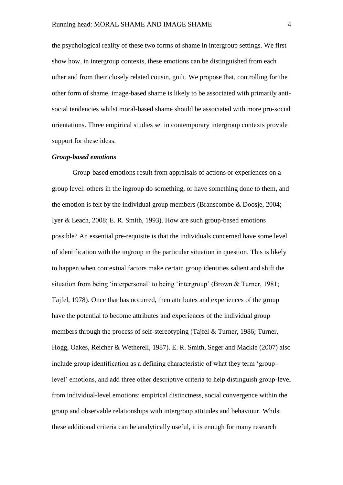the psychological reality of these two forms of shame in intergroup settings. We first show how, in intergroup contexts, these emotions can be distinguished from each other and from their closely related cousin, guilt. We propose that, controlling for the other form of shame, image-based shame is likely to be associated with primarily antisocial tendencies whilst moral-based shame should be associated with more pro-social orientations. Three empirical studies set in contemporary intergroup contexts provide support for these ideas.

#### *Group-based emotions*

Group-based emotions result from appraisals of actions or experiences on a group level: others in the ingroup do something, or have something done to them, and the emotion is felt by the individual group members (Branscombe & Doosje, 2004; Iyer & Leach, 2008; E. R. Smith, 1993). How are such group-based emotions possible? An essential pre-requisite is that the individuals concerned have some level of identification with the ingroup in the particular situation in question. This is likely to happen when contextual factors make certain group identities salient and shift the situation from being 'interpersonal' to being 'intergroup' (Brown & Turner, 1981; Tajfel, 1978). Once that has occurred, then attributes and experiences of the group have the potential to become attributes and experiences of the individual group members through the process of self-stereotyping (Tajfel & Turner, 1986; Turner, Hogg, Oakes, Reicher & Wetherell, 1987). E. R. Smith, Seger and Mackie (2007) also include group identification as a defining characteristic of what they term 'grouplevel' emotions, and add three other descriptive criteria to help distinguish group-level from individual-level emotions: empirical distinctness, social convergence within the group and observable relationships with intergroup attitudes and behaviour. Whilst these additional criteria can be analytically useful, it is enough for many research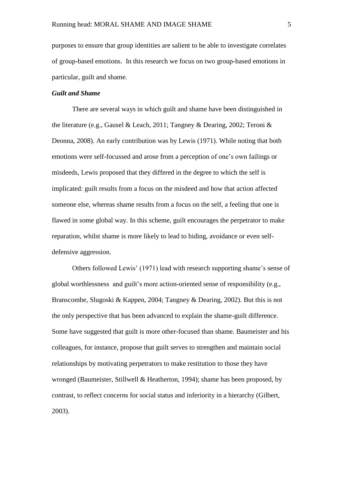purposes to ensure that group identities are salient to be able to investigate correlates of group-based emotions. In this research we focus on two group-based emotions in particular*,* guilt and shame.

#### *Guilt and Shame*

There are several ways in which guilt and shame have been distinguished in the literature (e.g., Gausel & Leach, 2011; Tangney & Dearing, 2002; Teroni & Deonna, 2008). An early contribution was by Lewis (1971). While noting that both emotions were self-focussed and arose from a perception of one's own failings or misdeeds, Lewis proposed that they differed in the degree to which the self is implicated: guilt results from a focus on the misdeed and how that action affected someone else, whereas shame results from a focus on the self, a feeling that one is flawed in some global way. In this scheme, guilt encourages the perpetrator to make reparation, whilst shame is more likely to lead to hiding, avoidance or even selfdefensive aggression.

Others followed Lewis' (1971) lead with research supporting shame's sense of global worthlessness and guilt's more action-oriented sense of responsibility (e.g., Branscombe, Slugoski & Kappen, 2004; Tangney & Dearing, 2002). But this is not the only perspective that has been advanced to explain the shame-guilt difference. Some have suggested that guilt is more other-focused than shame. Baumeister and his colleagues, for instance, propose that guilt serves to strengthen and maintain social relationships by motivating perpetrators to make restitution to those they have wronged (Baumeister, Stillwell & Heatherton, 1994); shame has been proposed, by contrast, to reflect concerns for social status and inferiority in a hierarchy (Gilbert, 2003).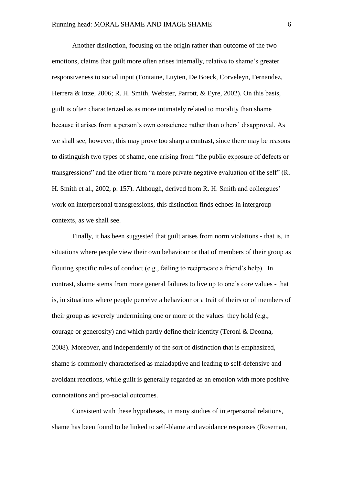Another distinction, focusing on the origin rather than outcome of the two emotions, claims that guilt more often arises internally, relative to shame's greater responsiveness to social input (Fontaine, Luyten, De Boeck, Corveleyn, Fernandez, Herrera & Ittze, 2006; R. H. Smith, Webster, Parrott, & Eyre, 2002). On this basis, guilt is often characterized as as more intimately related to morality than shame because it arises from a person's own conscience rather than others' disapproval. As we shall see, however, this may prove too sharp a contrast, since there may be reasons to distinguish two types of shame, one arising from "the public exposure of defects or transgressions" and the other from "a more private negative evaluation of the self" (R. H. Smith et al., 2002, p. 157). Although, derived from R. H. Smith and colleagues' work on interpersonal transgressions, this distinction finds echoes in intergroup contexts, as we shall see.

Finally, it has been suggested that guilt arises from norm violations - that is, in situations where people view their own behaviour or that of members of their group as flouting specific rules of conduct (e.g., failing to reciprocate a friend's help). In contrast, shame stems from more general failures to live up to one's core values - that is, in situations where people perceive a behaviour or a trait of theirs or of members of their group as severely undermining one or more of the values they hold (e.g., courage or generosity) and which partly define their identity (Teroni & Deonna, 2008). Moreover, and independently of the sort of distinction that is emphasized, shame is commonly characterised as maladaptive and leading to self-defensive and avoidant reactions, while guilt is generally regarded as an emotion with more positive connotations and pro-social outcomes.

Consistent with these hypotheses, in many studies of interpersonal relations, shame has been found to be linked to self-blame and avoidance responses (Roseman,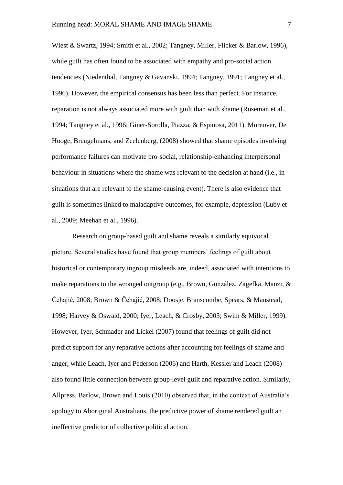Wiest & Swartz, 1994; Smith et al., 2002; Tangney, Miller, Flicker & Barlow, 1996), while guilt has often found to be associated with empathy and pro-social action tendencies (Niedenthal, Tangney & Gavanski, 1994; Tangney, 1991; Tangney et al., 1996). However, the empirical consensus has been less than perfect. For instance, reparation is not always associated more with guilt than with shame (Roseman et al., 1994; Tangney et al., 1996; Giner-Sorolla, Piazza, & Espinosa, 2011). Moreover, De Hooge, Breugelmans, and Zeelenberg, (2008) showed that shame episodes involving performance failures can motivate pro-social, relationship-enhancing interpersonal behaviour in situations where the shame was relevant to the decision at hand (i.e., in situations that are relevant to the shame-causing event). There is also evidence that guilt is sometimes linked to maladaptive outcomes, for example, depression (Luby et al., 2009; Meehan et al., 1996).

Research on group-based guilt and shame reveals a similarly equivocal picture. Several studies have found that group members' feelings of guilt about historical or contemporary ingroup misdeeds are, indeed, associated with intentions to make reparations to the wronged outgroup (e.g., Brown, González, Zagefka, Manzi, & Čehajić, 2008; Brown & Čehajić, 2008; Doosje, Branscombe, Spears, & Manstead, 1998; Harvey & Oswald, 2000; Iyer, Leach, & Crosby, 2003; Swim & Miller, 1999). However, Iyer, Schmader and Lickel (2007) found that feelings of guilt did not predict support for any reparative actions after accounting for feelings of shame and anger, while Leach, Iyer and Pederson (2006) and Harth, Kessler and Leach (2008) also found little connection between group-level guilt and reparative action. Similarly, Allpress, Barlow, Brown and Louis (2010) observed that, in the context of Australia's apology to Aboriginal Australians, the predictive power of shame rendered guilt an ineffective predictor of collective political action.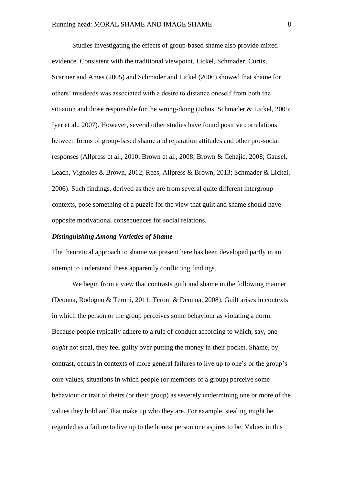Studies investigating the effects of group-based shame also provide mixed evidence. Consistent with the traditional viewpoint, Lickel, Schmader, Curtis, Scarnier and Ames (2005) and Schmader and Lickel (2006) showed that shame for others' misdeeds was associated with a desire to distance oneself from both the situation and those responsible for the wrong-doing (Johns, Schmader & Lickel, 2005; Iyer et al., 2007). However, several other studies have found positive correlations between forms of group-based shame and reparation attitudes and other pro-social responses (Allpress et al., 2010; Brown et al., 2008; Brown & Cehajic, 2008; Gausel, Leach, Vignoles & Brown, 2012; Rees, Allpress & Brown, 2013; Schmader & Lickel, 2006). Such findings, derived as they are from several quite different intergroup contexts, pose something of a puzzle for the view that guilt and shame should have opposite motivational consequences for social relations.

#### *Distinguishing Among Varieties of Shame*

The theoretical approach to shame we present here has been developed partly in an attempt to understand these apparently conflicting findings.

We begin from a view that contrasts guilt and shame in the following manner (Deonna, Rodogno & Teroni, 2011; Teroni & Deonna, 2008). Guilt arises in contexts in which the person or the group perceives some behaviour as violating a norm. Because people typically adhere to a rule of conduct according to which, say, one *ought* not steal, they feel guilty over putting the money in their pocket. Shame, by contrast, occurs in contexts of more general failures to live up to one's or the group's core values, situations in which people (or members of a group) perceive some behaviour or trait of theirs (or their group) as severely undermining one or more of the values they hold and that make up who they are. For example, stealing might be regarded as a failure to live up to the honest person one aspires to be. Values in this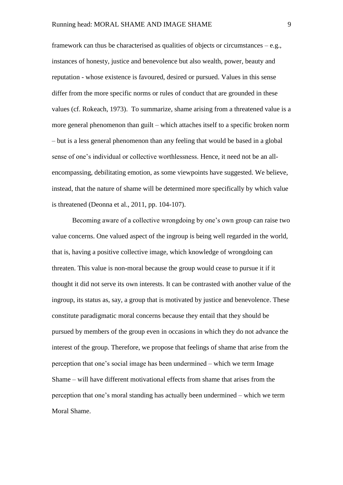framework can thus be characterised as qualities of objects or circumstances – e.g., instances of honesty, justice and benevolence but also wealth, power, beauty and reputation - whose existence is favoured, desired or pursued. Values in this sense differ from the more specific norms or rules of conduct that are grounded in these values (cf. Rokeach, 1973). To summarize, shame arising from a threatened value is a more general phenomenon than guilt – which attaches itself to a specific broken norm – but is a less general phenomenon than any feeling that would be based in a global sense of one's individual or collective worthlessness. Hence, it need not be an allencompassing, debilitating emotion, as some viewpoints have suggested. We believe, instead, that the nature of shame will be determined more specifically by which value is threatened (Deonna et al., 2011, pp. 104-107).

Becoming aware of a collective wrongdoing by one's own group can raise two value concerns. One valued aspect of the ingroup is being well regarded in the world, that is, having a positive collective image, which knowledge of wrongdoing can threaten. This value is non-moral because the group would cease to pursue it if it thought it did not serve its own interests. It can be contrasted with another value of the ingroup, its status as, say, a group that is motivated by justice and benevolence. These constitute paradigmatic moral concerns because they entail that they should be pursued by members of the group even in occasions in which they do not advance the interest of the group. Therefore, we propose that feelings of shame that arise from the perception that one's social image has been undermined – which we term Image Shame – will have different motivational effects from shame that arises from the perception that one's moral standing has actually been undermined – which we term Moral Shame.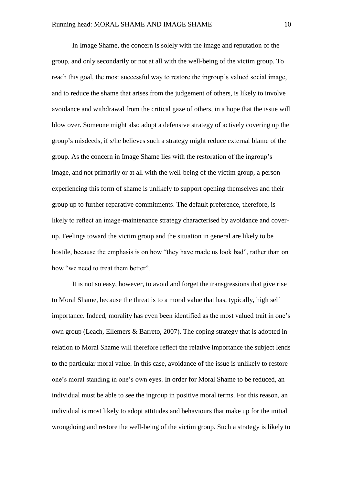In Image Shame, the concern is solely with the image and reputation of the group, and only secondarily or not at all with the well-being of the victim group. To reach this goal, the most successful way to restore the ingroup's valued social image, and to reduce the shame that arises from the judgement of others, is likely to involve avoidance and withdrawal from the critical gaze of others, in a hope that the issue will blow over. Someone might also adopt a defensive strategy of actively covering up the group's misdeeds, if s/he believes such a strategy might reduce external blame of the group. As the concern in Image Shame lies with the restoration of the ingroup's image, and not primarily or at all with the well-being of the victim group, a person experiencing this form of shame is unlikely to support opening themselves and their group up to further reparative commitments. The default preference, therefore, is likely to reflect an image-maintenance strategy characterised by avoidance and coverup. Feelings toward the victim group and the situation in general are likely to be hostile, because the emphasis is on how "they have made us look bad", rather than on how "we need to treat them better".

It is not so easy, however, to avoid and forget the transgressions that give rise to Moral Shame, because the threat is to a moral value that has, typically, high self importance. Indeed, morality has even been identified as the most valued trait in one's own group (Leach, Ellemers & Barreto, 2007). The coping strategy that is adopted in relation to Moral Shame will therefore reflect the relative importance the subject lends to the particular moral value. In this case, avoidance of the issue is unlikely to restore one's moral standing in one's own eyes. In order for Moral Shame to be reduced, an individual must be able to see the ingroup in positive moral terms. For this reason, an individual is most likely to adopt attitudes and behaviours that make up for the initial wrongdoing and restore the well-being of the victim group. Such a strategy is likely to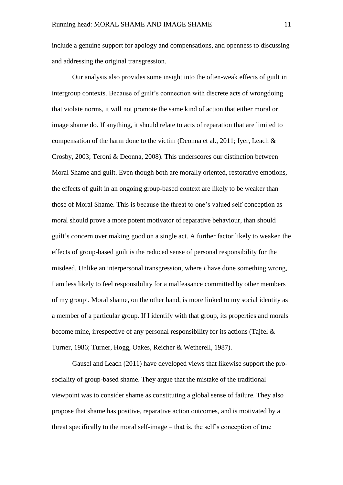include a genuine support for apology and compensations, and openness to discussing and addressing the original transgression.

Our analysis also provides some insight into the often-weak effects of guilt in intergroup contexts. Because of guilt's connection with discrete acts of wrongdoing that violate norms, it will not promote the same kind of action that either moral or image shame do. If anything, it should relate to acts of reparation that are limited to compensation of the harm done to the victim (Deonna et al., 2011; Iyer, Leach  $\&$ Crosby, 2003; Teroni & Deonna, 2008). This underscores our distinction between Moral Shame and guilt. Even though both are morally oriented, restorative emotions, the effects of guilt in an ongoing group-based context are likely to be weaker than those of Moral Shame. This is because the threat to one's valued self-conception as moral should prove a more potent motivator of reparative behaviour, than should guilt's concern over making good on a single act. A further factor likely to weaken the effects of group-based guilt is the reduced sense of personal responsibility for the misdeed. Unlike an interpersonal transgression, where *I* have done something wrong, I am less likely to feel responsibility for a malfeasance committed by other members of my group<sup>1</sup>. Moral shame, on the other hand, is more linked to my social identity as a member of a particular group. If I identify with that group, its properties and morals become mine, irrespective of any personal responsibility for its actions (Tajfel & Turner, 1986; Turner, Hogg, Oakes, Reicher & Wetherell, 1987).

Gausel and Leach (2011) have developed views that likewise support the prosociality of group-based shame. They argue that the mistake of the traditional viewpoint was to consider shame as constituting a global sense of failure. They also propose that shame has positive, reparative action outcomes, and is motivated by a threat specifically to the moral self-image – that is, the self's conception of true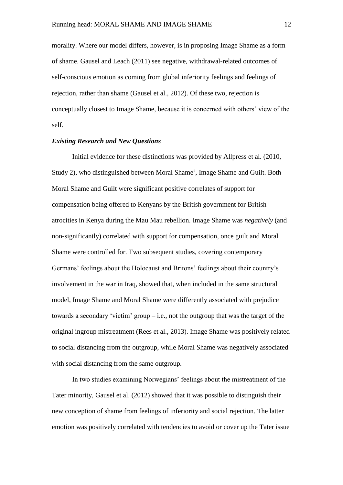morality. Where our model differs, however, is in proposing Image Shame as a form of shame. Gausel and Leach (2011) see negative, withdrawal-related outcomes of self-conscious emotion as coming from global inferiority feelings and feelings of rejection, rather than shame (Gausel et al., 2012). Of these two, rejection is conceptually closest to Image Shame, because it is concerned with others' view of the self.

#### *Existing Research and New Questions*

Initial evidence for these distinctions was provided by Allpress et al. (2010, Study 2), who distinguished between Moral Shame<sup>2</sup>, Image Shame and Guilt. Both Moral Shame and Guilt were significant positive correlates of support for compensation being offered to Kenyans by the British government for British atrocities in Kenya during the Mau Mau rebellion. Image Shame was *negatively* (and non-significantly) correlated with support for compensation, once guilt and Moral Shame were controlled for. Two subsequent studies, covering contemporary Germans' feelings about the Holocaust and Britons' feelings about their country's involvement in the war in Iraq, showed that, when included in the same structural model, Image Shame and Moral Shame were differently associated with prejudice towards a secondary 'victim' group  $-i.e.,$  not the outgroup that was the target of the original ingroup mistreatment (Rees et al., 2013). Image Shame was positively related to social distancing from the outgroup, while Moral Shame was negatively associated with social distancing from the same outgroup.

In two studies examining Norwegians' feelings about the mistreatment of the Tater minority, Gausel et al. (2012) showed that it was possible to distinguish their new conception of shame from feelings of inferiority and social rejection. The latter emotion was positively correlated with tendencies to avoid or cover up the Tater issue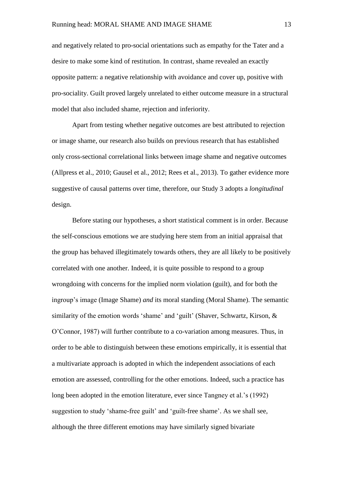and negatively related to pro-social orientations such as empathy for the Tater and a desire to make some kind of restitution. In contrast, shame revealed an exactly opposite pattern: a negative relationship with avoidance and cover up, positive with pro-sociality. Guilt proved largely unrelated to either outcome measure in a structural model that also included shame, rejection and inferiority.

Apart from testing whether negative outcomes are best attributed to rejection or image shame, our research also builds on previous research that has established only cross-sectional correlational links between image shame and negative outcomes (Allpress et al., 2010; Gausel et al., 2012; Rees et al., 2013). To gather evidence more suggestive of causal patterns over time, therefore, our Study 3 adopts a *longitudinal* design.

Before stating our hypotheses, a short statistical comment is in order. Because the self-conscious emotions we are studying here stem from an initial appraisal that the group has behaved illegitimately towards others, they are all likely to be positively correlated with one another. Indeed, it is quite possible to respond to a group wrongdoing with concerns for the implied norm violation (guilt), and for both the ingroup's image (Image Shame) *and* its moral standing (Moral Shame). The semantic similarity of the emotion words 'shame' and 'guilt' (Shaver, Schwartz, Kirson, & O'Connor, 1987) will further contribute to a co-variation among measures. Thus, in order to be able to distinguish between these emotions empirically, it is essential that a multivariate approach is adopted in which the independent associations of each emotion are assessed, controlling for the other emotions. Indeed, such a practice has long been adopted in the emotion literature, ever since Tangney et al.'s (1992) suggestion to study 'shame-free guilt' and 'guilt-free shame'. As we shall see, although the three different emotions may have similarly signed bivariate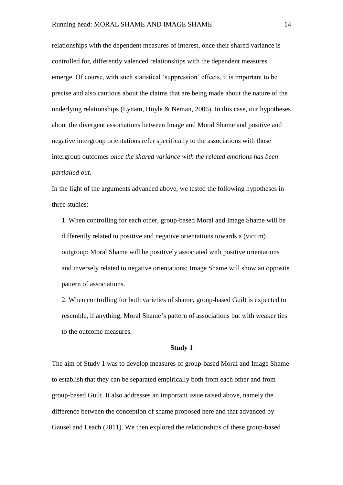relationships with the dependent measures of interest, once their shared variance is controlled for, differently valenced relationships with the dependent measures emerge. Of course, with such statistical 'suppression' effects, it is important to be precise and also cautious about the claims that are being made about the nature of the underlying relationships (Lynam, Hoyle & Neman, 2006). In this case, our hypotheses about the divergent associations between Image and Moral Shame and positive and negative intergroup orientations refer specifically to the associations with those intergroup outcomes *once the shared variance with the related emotions has been partialled out*.

In the light of the arguments advanced above, we tested the following hypotheses in three studies:

1. When controlling for each other, group-based Moral and Image Shame will be differently related to positive and negative orientations towards a (victim) outgroup: Moral Shame will be positively associated with positive orientations and inversely related to negative orientations; Image Shame will show an opposite pattern of associations.

2. When controlling for both varieties of shame, group-based Guilt is expected to resemble, if anything, Moral Shame's pattern of associations but with weaker ties to the outcome measures.

#### **Study 1**

The aim of Study 1 was to develop measures of group-based Moral and Image Shame to establish that they can be separated empirically both from each other and from group-based Guilt. It also addresses an important issue raised above, namely the difference between the conception of shame proposed here and that advanced by Gausel and Leach (2011). We then explored the relationships of these group-based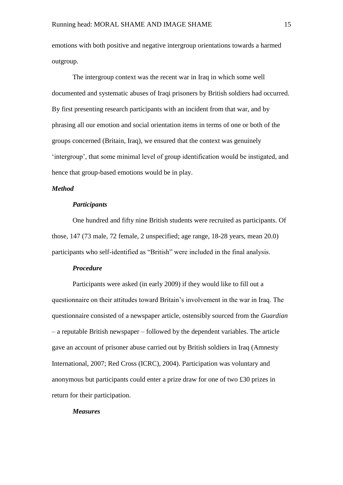emotions with both positive and negative intergroup orientations towards a harmed outgroup.

The intergroup context was the recent war in Iraq in which some well documented and systematic abuses of Iraqi prisoners by British soldiers had occurred. By first presenting research participants with an incident from that war, and by phrasing all our emotion and social orientation items in terms of one or both of the groups concerned (Britain, Iraq), we ensured that the context was genuinely 'intergroup', that some minimal level of group identification would be instigated, and hence that group-based emotions would be in play.

#### *Method*

#### *Participants*

One hundred and fifty nine British students were recruited as participants. Of those, 147 (73 male, 72 female, 2 unspecified; age range, 18-28 years, mean 20.0) participants who self-identified as "British" were included in the final analysis.

#### *Procedure*

Participants were asked (in early 2009) if they would like to fill out a questionnaire on their attitudes toward Britain's involvement in the war in Iraq. The questionnaire consisted of a newspaper article, ostensibly sourced from the *Guardian* – a reputable British newspaper – followed by the dependent variables. The article gave an account of prisoner abuse carried out by British soldiers in Iraq (Amnesty International, 2007; Red Cross (ICRC), 2004). Participation was voluntary and anonymous but participants could enter a prize draw for one of two £30 prizes in return for their participation.

#### *Measures*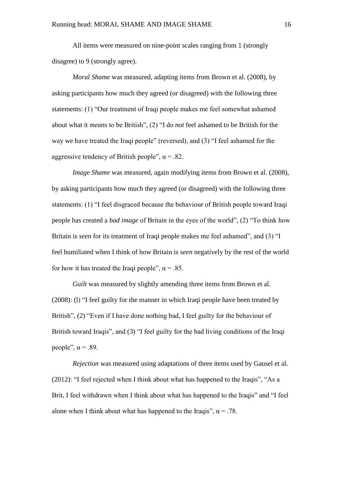All items were measured on nine-point scales ranging from 1 (strongly disagree) to 9 (strongly agree).

*Moral Shame* was measured, adapting items from Brown et al. (2008), by asking participants how much they agreed (or disagreed) with the following three statements: (1) "Our treatment of Iraqi people makes me feel somewhat ashamed about what it *means* to be British", (2) "I do *not* feel ashamed to be British for the way we have treated the Iraqi people" (reversed), and (3) "I feel ashamed for the aggressive tendency of British people",  $\alpha$  = .82.

*Image Shame* was measured, again modifying items from Brown et al. (2008), by asking participants how much they agreed (or disagreed) with the following three statements: (1) "I feel disgraced because the behaviour of British people toward Iraqi people has created a *bad image* of Britain in the eyes of the world", (2) "To think how Britain is *seen* for its treatment of Iraqi people makes me feel ashamed", and (3) "I feel humiliated when I think of how Britain is *seen* negatively by the rest of the world for how it has treated the Iraqi people",  $\alpha$  = .85.

*Guilt* was measured by slightly amending three items from Brown et al. (2008): (l) "I feel guilty for the manner in which Iraqi people have been treated by British", (2) "Even if I have done nothing bad, I feel guilty for the behaviour of British toward Iraqis", and (3) "I feel guilty for the bad living conditions of the Iraqi people",  $\alpha$  = .89.

*Rejection* was measured using adaptations of three items used by Gausel et al. (2012): "I feel rejected when I think about what has happened to the Iraqis", "As a Brit, I feel withdrawn when I think about what has happened to the Iraqis" and "I feel alone when I think about what has happened to the Iraqis",  $\alpha = .78$ .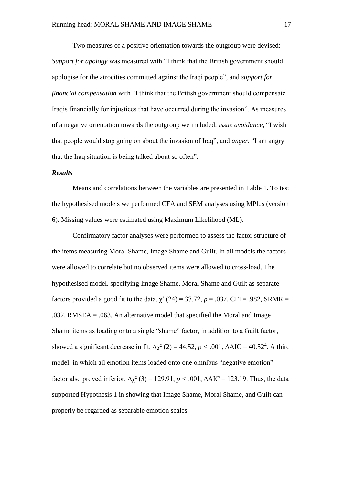Two measures of a positive orientation towards the outgroup were devised: *Support for apology* was measured with "I think that the British government should apologise for the atrocities committed against the Iraqi people"*,* and *support for financial compensation* with "I think that the British government should compensate Iraqis financially for injustices that have occurred during the invasion". As measures of a negative orientation towards the outgroup we included: *issue avoidance,* "I wish that people would stop going on about the invasion of Iraq", and *anger*, "I am angry that the Iraq situation is being talked about so often".

#### *Results*

Means and correlations between the variables are presented in Table 1. To test the hypothesised models we performed CFA and SEM analyses using MPlus (version 6). Missing values were estimated using Maximum Likelihood (ML).

Confirmatory factor analyses were performed to assess the factor structure of the items measuring Moral Shame, Image Shame and Guilt. In all models the factors were allowed to correlate but no observed items were allowed to cross-load. The hypothesised model, specifying Image Shame, Moral Shame and Guilt as separate factors provided a good fit to the data,  $\chi^2$  (24) = 37.72, *p* = .037, CFI = .982, SRMR = .032, RMSEA = .063. An alternative model that specified the Moral and Image Shame items as loading onto a single "shame" factor, in addition to a Guilt factor, showed a significant decrease in fit,  $\Delta \chi^2$  (2) = 44.52, *p* < .001,  $\Delta AIC = 40.52^4$ . A third model, in which all emotion items loaded onto one omnibus "negative emotion" factor also proved inferior,  $\Delta \chi^2$  (3) = 129.91, *p* < .001,  $\Delta AIC = 123.19$ . Thus, the data supported Hypothesis 1 in showing that Image Shame, Moral Shame, and Guilt can properly be regarded as separable emotion scales.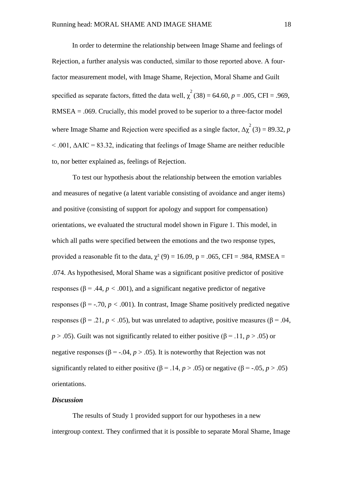In order to determine the relationship between Image Shame and feelings of Rejection, a further analysis was conducted, similar to those reported above. A fourfactor measurement model, with Image Shame, Rejection, Moral Shame and Guilt specified as separate factors, fitted the data well,  $\chi^2(38) = 64.60$ ,  $p = .005$ , CFI = .969, RMSEA = .069. Crucially, this model proved to be superior to a three-factor model where Image Shame and Rejection were specified as a single factor,  $\Delta \chi^2$  (3) = 89.32, *p*  $< .001$ ,  $\triangle AIC = 83.32$ , indicating that feelings of Image Shame are neither reducible to, nor better explained as, feelings of Rejection.

To test our hypothesis about the relationship between the emotion variables and measures of negative (a latent variable consisting of avoidance and anger items) and positive (consisting of support for apology and support for compensation) orientations, we evaluated the structural model shown in Figure 1. This model, in which all paths were specified between the emotions and the two response types, provided a reasonable fit to the data,  $\chi^2$  (9) = 16.09, p = .065, CFI = .984, RMSEA = .074. As hypothesised, Moral Shame was a significant positive predictor of positive responses ( $β = .44$ ,  $p < .001$ ), and a significant negative predictor of negative responses ( $β = -0.70$ ,  $p < 0.001$ ). In contrast, Image Shame positively predicted negative responses ( $β = .21, p < .05$ ), but was unrelated to adaptive, positive measures ( $β = .04$ , *p* > .05). Guilt was not significantly related to either positive ( $\beta$  = .11, *p* > .05) or negative responses ( $\beta$  = -.04,  $p > .05$ ). It is noteworthy that Rejection was not significantly related to either positive ( $\beta$  = .14, *p* > .05) or negative ( $\beta$  = -.05, *p* > .05) orientations.

#### *Discussion*

The results of Study 1 provided support for our hypotheses in a new intergroup context. They confirmed that it is possible to separate Moral Shame, Image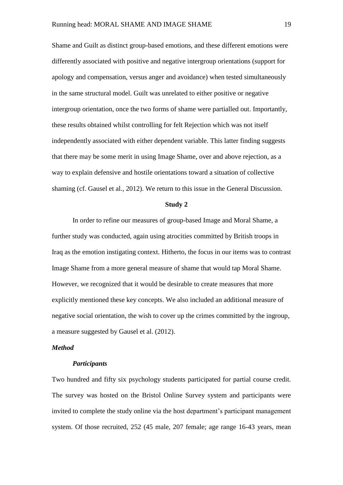Shame and Guilt as distinct group-based emotions, and these different emotions were differently associated with positive and negative intergroup orientations (support for apology and compensation, versus anger and avoidance) when tested simultaneously in the same structural model. Guilt was unrelated to either positive or negative intergroup orientation, once the two forms of shame were partialled out. Importantly, these results obtained whilst controlling for felt Rejection which was not itself independently associated with either dependent variable. This latter finding suggests that there may be some merit in using Image Shame, over and above rejection, as a way to explain defensive and hostile orientations toward a situation of collective shaming (cf. Gausel et al., 2012). We return to this issue in the General Discussion.

#### **Study 2**

In order to refine our measures of group-based Image and Moral Shame, a further study was conducted, again using atrocities committed by British troops in Iraq as the emotion instigating context. Hitherto, the focus in our items was to contrast Image Shame from a more general measure of shame that would tap Moral Shame. However, we recognized that it would be desirable to create measures that more explicitly mentioned these key concepts. We also included an additional measure of negative social orientation, the wish to cover up the crimes committed by the ingroup, a measure suggested by Gausel et al. (2012).

#### *Method*

#### *Participants*

Two hundred and fifty six psychology students participated for partial course credit. The survey was hosted on the Bristol Online Survey system and participants were invited to complete the study online via the host department's participant management system. Of those recruited, 252 (45 male, 207 female; age range 16-43 years, mean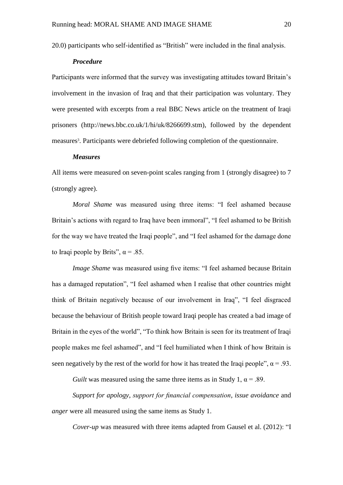20.0) participants who self-identified as "British" were included in the final analysis.

#### *Procedure*

Participants were informed that the survey was investigating attitudes toward Britain's involvement in the invasion of Iraq and that their participation was voluntary. They were presented with excerpts from a real BBC News article on the treatment of Iraqi prisoners (http://news.bbc.co.uk/1/hi/uk/8266699.stm), followed by the dependent measures<sup>3</sup>. Participants were debriefed following completion of the questionnaire.

#### *Measures*

All items were measured on seven-point scales ranging from 1 (strongly disagree) to 7 (strongly agree).

*Moral Shame* was measured using three items: "I feel ashamed because Britain's actions with regard to Iraq have been immoral", "I feel ashamed to be British for the way we have treated the Iraqi people", and "I feel ashamed for the damage done to Iraqi people by Brits",  $\alpha$  = .85.

*Image Shame* was measured using five items: "I feel ashamed because Britain has a damaged reputation", "I feel ashamed when I realise that other countries might think of Britain negatively because of our involvement in Iraq", "I feel disgraced because the behaviour of British people toward Iraqi people has created a bad image of Britain in the eyes of the world", "To think how Britain is seen for its treatment of Iraqi people makes me feel ashamed", and "I feel humiliated when I think of how Britain is seen negatively by the rest of the world for how it has treated the Iraqi people",  $\alpha$  = .93.

*Guilt* was measured using the same three items as in Study 1,  $\alpha$  = .89.

*Support for apology*, *support for financial compensation*, *issue avoidance* and *anger* were all measured using the same items as Study 1.

*Cover-up* was measured with three items adapted from Gausel et al. (2012): "I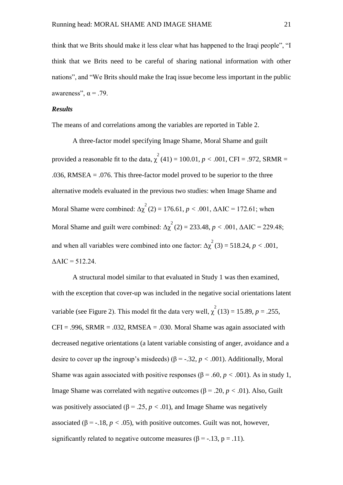think that we Brits should make it less clear what has happened to the Iraqi people", "I think that we Brits need to be careful of sharing national information with other nations", and "We Brits should make the Iraq issue become less important in the public awareness",  $\alpha$  = .79.

#### *Results*

The means of and correlations among the variables are reported in Table 2.

A three-factor model specifying Image Shame, Moral Shame and guilt provided a reasonable fit to the data,  $\chi^2(41) = 100.01$ ,  $p < .001$ , CFI = .972, SRMR = .036, RMSEA  $=$  .076. This three-factor model proved to be superior to the three alternative models evaluated in the previous two studies: when Image Shame and Moral Shame were combined:  $\Delta \chi^2(2) = 176.61$ ,  $p < .001$ ,  $\Delta AIC = 172.61$ ; when Moral Shame and guilt were combined:  $\Delta \chi^2$  (2) = 233.48, *p* < .001,  $\Delta AIC = 229.48$ ; and when all variables were combined into one factor:  $\Delta \chi^2(3) = 518.24$ ,  $p < .001$ ,  $\triangle AIC = 512.24$ .

A structural model similar to that evaluated in Study 1 was then examined, with the exception that cover-up was included in the negative social orientations latent variable (see Figure 2). This model fit the data very well,  $\chi^2(13) = 15.89$ ,  $p = .255$ ,  $CFI = .996$ ,  $SRMR = .032$ ,  $RMSEA = .030$ . Moral Shame was again associated with decreased negative orientations (a latent variable consisting of anger, avoidance and a desire to cover up the ingroup's misdeeds) ( $\beta$  = -.32, *p* < .001). Additionally, Moral Shame was again associated with positive responses ( $\beta$  = .60, *p* < .001). As in study 1, Image Shame was correlated with negative outcomes (β = .20, *p <* .01). Also, Guilt was positively associated ( $\beta$  = .25,  $p < .01$ ), and Image Shame was negatively associated ( $\beta$  = -.18,  $p < .05$ ), with positive outcomes. Guilt was not, however, significantly related to negative outcome measures ( $\beta$  = -.13, p = .11).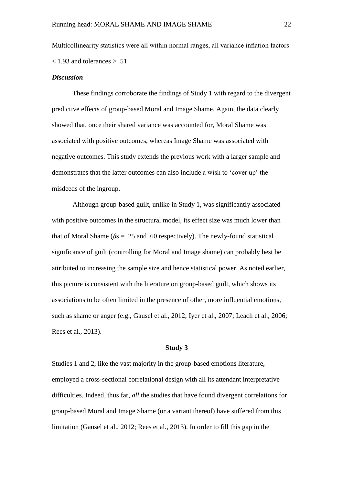Multicollinearity statistics were all within normal ranges, all variance inflation factors  $<$  1.93 and tolerances  $> .51$ 

#### *Discussion*

These findings corroborate the findings of Study 1 with regard to the divergent predictive effects of group-based Moral and Image Shame. Again, the data clearly showed that, once their shared variance was accounted for, Moral Shame was associated with positive outcomes, whereas Image Shame was associated with negative outcomes. This study extends the previous work with a larger sample and demonstrates that the latter outcomes can also include a wish to 'cover up' the misdeeds of the ingroup.

Although group-based guilt, unlike in Study 1, was significantly associated with positive outcomes in the structural model, its effect size was much lower than that of Moral Shame ( $\beta$ s = .25 and .60 respectively). The newly-found statistical significance of guilt (controlling for Moral and Image shame) can probably best be attributed to increasing the sample size and hence statistical power. As noted earlier, this picture is consistent with the literature on group-based guilt, which shows its associations to be often limited in the presence of other, more influential emotions, such as shame or anger (e.g., Gausel et al., 2012; Iyer et al., 2007; Leach et al., 2006; Rees et al., 2013).

#### **Study 3**

Studies 1 and 2, like the vast majority in the group-based emotions literature, employed a cross-sectional correlational design with all its attendant interpretative difficulties. Indeed, thus far, *all* the studies that have found divergent correlations for group-based Moral and Image Shame (or a variant thereof) have suffered from this limitation (Gausel et al., 2012; Rees et al., 2013). In order to fill this gap in the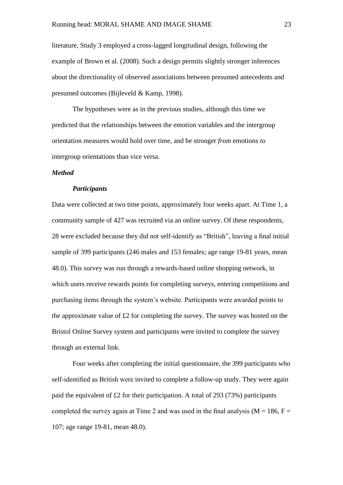literature, Study 3 employed a cross-lagged longitudinal design, following the example of Brown et al. (2008). Such a design permits slightly stronger inferences about the directionality of observed associations between presumed antecedents and presumed outcomes (Bijleveld & Kamp, 1998).

The hypotheses were as in the previous studies, although this time we predicted that the relationships between the emotion variables and the intergroup orientation measures would hold over time, and be stronger *from* emotions *to* intergroup orientations than vice versa.

#### *Method*

#### *Participants*

Data were collected at two time points, approximately four weeks apart. At Time 1, a community sample of 427 was recruited via an online survey. Of these respondents, 28 were excluded because they did not self-identify as "British", leaving a final initial sample of 399 participants (246 males and 153 females; age range 19-81 years, mean 48.0). This survey was run through a rewards-based online shopping network, in which users receive rewards points for completing surveys, entering competitions and purchasing items through the system's website. Participants were awarded points to the approximate value of £2 for completing the survey. The survey was hosted on the Bristol Online Survey system and participants were invited to complete the survey through an external link.

Four weeks after completing the initial questionnaire, the 399 participants who self-identified as British were invited to complete a follow-up study. They were again paid the equivalent of £2 for their participation. A total of 293 (73%) participants completed the survey again at Time 2 and was used in the final analysis ( $M = 186$ ,  $F =$ 107; age range 19-81, mean 48.0).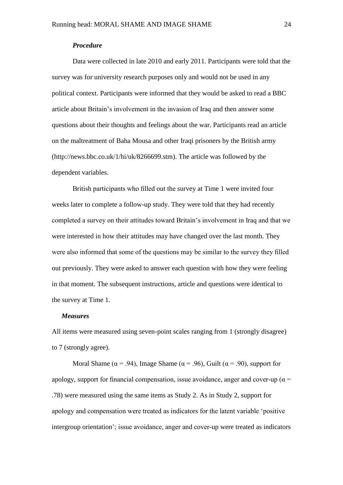#### *Procedure*

Data were collected in late 2010 and early 2011. Participants were told that the survey was for university research purposes only and would not be used in any political context. Participants were informed that they would be asked to read a BBC article about Britain's involvement in the invasion of Iraq and then answer some questions about their thoughts and feelings about the war. Participants read an article on the maltreatment of Baha Mousa and other Iraqi prisoners by the British army (http://news.bbc.co.uk/1/hi/uk/8266699.stm). The article was followed by the dependent variables.

British participants who filled out the survey at Time 1 were invited four weeks later to complete a follow-up study. They were told that they had recently completed a survey on their attitudes toward Britain's involvement in Iraq and that we were interested in how their attitudes may have changed over the last month. They were also informed that some of the questions may be similar to the survey they filled out previously. They were asked to answer each question with how they were feeling in that moment. The subsequent instructions, article and questions were identical to the survey at Time 1.

#### *Measures*

All items were measured using seven-point scales ranging from 1 (strongly disagree) to 7 (strongly agree).

Moral Shame ( $\alpha$  = .94), Image Shame ( $\alpha$  = .96), Guilt ( $\alpha$  = .90), support for apology, support for financial compensation, issue avoidance, anger and cover-up ( $\alpha$  = .78) were measured using the same items as Study 2. As in Study 2, support for apology and compensation were treated as indicators for the latent variable 'positive intergroup orientation'; issue avoidance, anger and cover-up were treated as indicators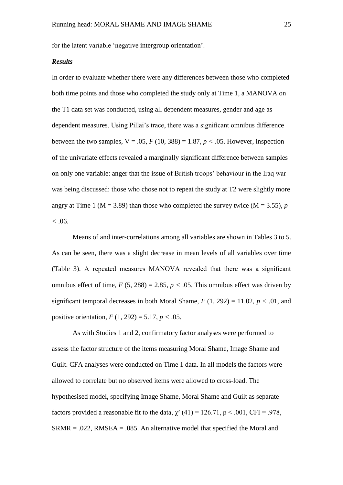for the latent variable 'negative intergroup orientation'.

#### *Results*

In order to evaluate whether there were any differences between those who completed both time points and those who completed the study only at Time 1, a MANOVA on the T1 data set was conducted, using all dependent measures, gender and age as dependent measures. Using Pillai's trace, there was a significant omnibus difference between the two samples,  $V = .05$ ,  $F(10, 388) = 1.87$ ,  $p < .05$ . However, inspection of the univariate effects revealed a marginally significant difference between samples on only one variable: anger that the issue of British troops' behaviour in the Iraq war was being discussed: those who chose not to repeat the study at T2 were slightly more angry at Time 1 ( $M = 3.89$ ) than those who completed the survey twice ( $M = 3.55$ ), *p <* .06.

Means of and inter-correlations among all variables are shown in Tables 3 to 5. As can be seen, there was a slight decrease in mean levels of all variables over time (Table 3). A repeated measures MANOVA revealed that there was a significant omnibus effect of time,  $F(5, 288) = 2.85$ ,  $p < .05$ . This omnibus effect was driven by significant temporal decreases in both Moral Shame,  $F(1, 292) = 11.02$ ,  $p < .01$ , and positive orientation, *F* (1, 292) = 5.17, *p <* .05.

As with Studies 1 and 2, confirmatory factor analyses were performed to assess the factor structure of the items measuring Moral Shame, Image Shame and Guilt. CFA analyses were conducted on Time 1 data. In all models the factors were allowed to correlate but no observed items were allowed to cross-load. The hypothesised model, specifying Image Shame, Moral Shame and Guilt as separate factors provided a reasonable fit to the data,  $\chi^2$  (41) = 126.71, p < .001, CFI = .978,  $SRMR = .022$ ,  $RMSEA = .085$ . An alternative model that specified the Moral and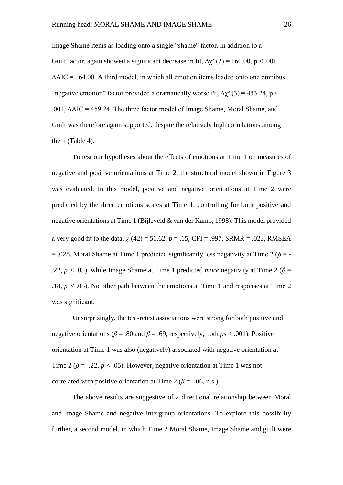Image Shame items as loading onto a single "shame" factor, in addition to a Guilt factor, again showed a significant decrease in fit,  $\Delta \gamma^2$  (2) = 160.00, p < .001,  $\Delta AIC = 164.00$ . A third model, in which all emotion items loaded onto one omnibus "negative emotion" factor provided a dramatically worse fit,  $\Delta \chi^2$  (3) = 453.24, p < .001, ∆AIC = 459.24. The three factor model of Image Shame, Moral Shame, and Guilt was therefore again supported, despite the relatively high correlations among them (Table 4).

To test our hypotheses about the effects of emotions at Time 1 on measures of negative and positive orientations at Time 2, the structural model shown in Figure 3 was evaluated. In this model, positive and negative orientations at Time 2 were predicted by the three emotions scales at Time 1, controlling for both positive and negative orientations at Time 1 (Bijleveld & van der Kamp, 1998). This model provided a very good fit to the data,  $\chi^2(42) = 51.62$ ,  $p = .15$ , CFI = .997, SRMR = .023, RMSEA  $= .028$ . Moral Shame at Time 1 predicted significantly less negativity at Time 2 ( $\beta = -$ .22,  $p < .05$ ), while Image Shame at Time 1 predicted *more* negativity at Time 2 ( $\beta$  = .18,  $p < .05$ ). No other path between the emotions at Time 1 and responses at Time 2 was significant.

Unsurprisingly, the test-retest associations were strong for both positive and negative orientations ( $\beta$  = .80 and  $\beta$  = .69, respectively, both  $ps < .001$ ). Positive orientation at Time 1 was also (negatively) associated with negative orientation at Time 2 ( $\beta$  = -.22,  $p < .05$ ). However, negative orientation at Time 1 was not correlated with positive orientation at Time 2 ( $\beta$  = -.06, n.s.).

The above results are suggestive of a directional relationship between Moral and Image Shame and negative intergroup orientations. To explore this possibility further, a second model, in which Time 2 Moral Shame, Image Shame and guilt were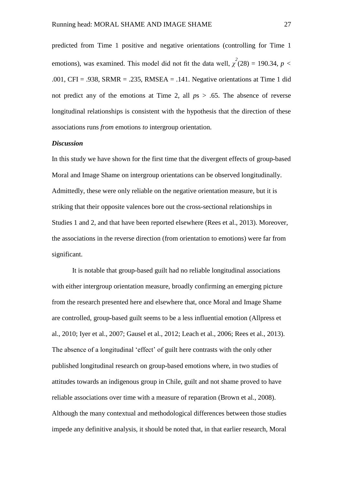predicted from Time 1 positive and negative orientations (controlling for Time 1 emotions), was examined. This model did not fit the data well,  $\chi^2(28) = 190.34$ ,  $p <$ .001, CFI = .938, SRMR = .235, RMSEA = .141. Negative orientations at Time 1 did not predict any of the emotions at Time 2, all *p*s > .65. The absence of reverse longitudinal relationships is consistent with the hypothesis that the direction of these associations runs *from* emotions *to* intergroup orientation.

#### *Discussion*

In this study we have shown for the first time that the divergent effects of group-based Moral and Image Shame on intergroup orientations can be observed longitudinally. Admittedly, these were only reliable on the negative orientation measure, but it is striking that their opposite valences bore out the cross-sectional relationships in Studies 1 and 2, and that have been reported elsewhere (Rees et al., 2013). Moreover, the associations in the reverse direction (from orientation to emotions) were far from significant.

It is notable that group-based guilt had no reliable longitudinal associations with either intergroup orientation measure, broadly confirming an emerging picture from the research presented here and elsewhere that, once Moral and Image Shame are controlled, group-based guilt seems to be a less influential emotion (Allpress et al., 2010; Iyer et al., 2007; Gausel et al., 2012; Leach et al., 2006; Rees et al., 2013). The absence of a longitudinal 'effect' of guilt here contrasts with the only other published longitudinal research on group-based emotions where, in two studies of attitudes towards an indigenous group in Chile, guilt and not shame proved to have reliable associations over time with a measure of reparation (Brown et al., 2008). Although the many contextual and methodological differences between those studies impede any definitive analysis, it should be noted that, in that earlier research, Moral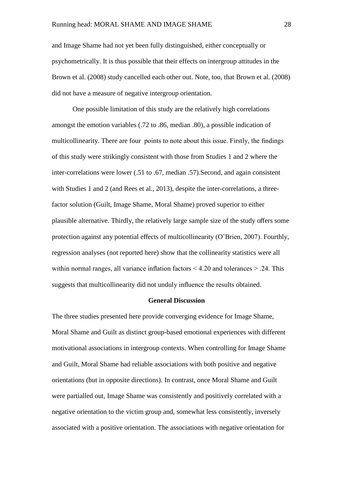and Image Shame had not yet been fully distinguished, either conceptually or psychometrically. It is thus possible that their effects on intergroup attitudes in the Brown et al. (2008) study cancelled each other out. Note, too, that Brown et al. (2008) did not have a measure of negative intergroup orientation.

One possible limitation of this study are the relatively high correlations amongst the emotion variables (.72 to .86, median .80), a possible indication of multicollinearity. There are four points to note about this issue. Firstly, the findings of this study were strikingly consistent with those from Studies 1 and 2 where the inter-correlations were lower (.51 to .67, median .57).Second, and again consistent with Studies 1 and 2 (and Rees et al., 2013), despite the inter-correlations, a threefactor solution (Guilt, Image Shame, Moral Shame) proved superior to either plausible alternative. Thirdly, the relatively large sample size of the study offers some protection against any potential effects of multicollinearity (O'Brien, 2007). Fourthly, regression analyses (not reported here) show that the collinearity statistics were all within normal ranges, all variance inflation factors  $\leq 4.20$  and tolerances  $\geq 0.24$ . This suggests that multicollinearity did not unduly influence the results obtained.

#### **General Discussion**

The three studies presented here provide converging evidence for Image Shame, Moral Shame and Guilt as distinct group-based emotional experiences with different motivational associations in intergroup contexts. When controlling for Image Shame and Guilt, Moral Shame had reliable associations with both positive and negative orientations (but in opposite directions). In contrast, once Moral Shame and Guilt were partialled out, Image Shame was consistently and positively correlated with a negative orientation to the victim group and, somewhat less consistently, inversely associated with a positive orientation. The associations with negative orientation for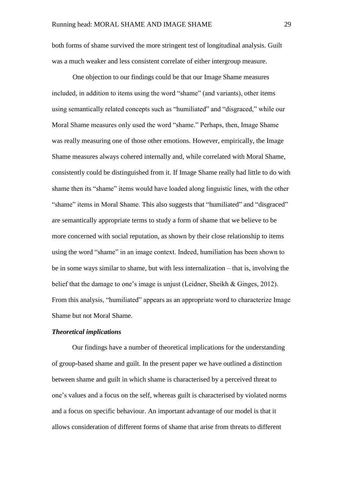both forms of shame survived the more stringent test of longitudinal analysis. Guilt was a much weaker and less consistent correlate of either intergroup measure.

One objection to our findings could be that our Image Shame measures included, in addition to items using the word "shame" (and variants), other items using semantically related concepts such as "humiliated" and "disgraced," while our Moral Shame measures only used the word "shame." Perhaps, then, Image Shame was really measuring one of those other emotions. However, empirically, the Image Shame measures always cohered internally and, while correlated with Moral Shame, consistently could be distinguished from it. If Image Shame really had little to do with shame then its "shame" items would have loaded along linguistic lines, with the other "shame" items in Moral Shame. This also suggests that "humiliated" and "disgraced" are semantically appropriate terms to study a form of shame that we believe to be more concerned with social reputation, as shown by their close relationship to items using the word "shame" in an image context. Indeed, humiliation has been shown to be in some ways similar to shame, but with less internalization – that is, involving the belief that the damage to one's image is unjust (Leidner, Sheikh & Ginges, 2012). From this analysis, "humiliated" appears as an appropriate word to characterize Image Shame but not Moral Shame.

#### *Theoretical implications*

Our findings have a number of theoretical implications for the understanding of group-based shame and guilt. In the present paper we have outlined a distinction between shame and guilt in which shame is characterised by a perceived threat to one's values and a focus on the self, whereas guilt is characterised by violated norms and a focus on specific behaviour. An important advantage of our model is that it allows consideration of different forms of shame that arise from threats to different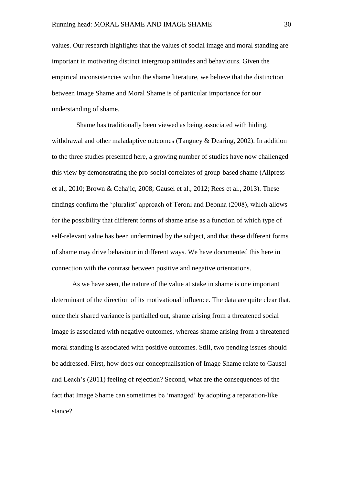values. Our research highlights that the values of social image and moral standing are important in motivating distinct intergroup attitudes and behaviours. Given the empirical inconsistencies within the shame literature, we believe that the distinction between Image Shame and Moral Shame is of particular importance for our understanding of shame.

Shame has traditionally been viewed as being associated with hiding, withdrawal and other maladaptive outcomes (Tangney & Dearing, 2002). In addition to the three studies presented here, a growing number of studies have now challenged this view by demonstrating the pro-social correlates of group-based shame (Allpress et al., 2010; Brown & Cehajic, 2008; Gausel et al., 2012; Rees et al., 2013). These findings confirm the 'pluralist' approach of Teroni and Deonna (2008), which allows for the possibility that different forms of shame arise as a function of which type of self-relevant value has been undermined by the subject, and that these different forms of shame may drive behaviour in different ways. We have documented this here in connection with the contrast between positive and negative orientations.

As we have seen, the nature of the value at stake in shame is one important determinant of the direction of its motivational influence. The data are quite clear that, once their shared variance is partialled out, shame arising from a threatened social image is associated with negative outcomes, whereas shame arising from a threatened moral standing is associated with positive outcomes. Still, two pending issues should be addressed. First, how does our conceptualisation of Image Shame relate to Gausel and Leach's (2011) feeling of rejection? Second, what are the consequences of the fact that Image Shame can sometimes be 'managed' by adopting a reparation-like stance?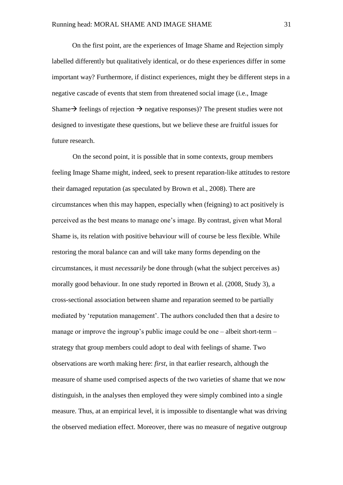On the first point, are the experiences of Image Shame and Rejection simply labelled differently but qualitatively identical, or do these experiences differ in some important way? Furthermore, if distinct experiences, might they be different steps in a negative cascade of events that stem from threatened social image (i.e., Image Shame  $\rightarrow$  feelings of rejection  $\rightarrow$  negative responses)? The present studies were not designed to investigate these questions, but we believe these are fruitful issues for future research.

On the second point, it is possible that in some contexts, group members feeling Image Shame might, indeed, seek to present reparation-like attitudes to restore their damaged reputation (as speculated by Brown et al., 2008). There are circumstances when this may happen, especially when (feigning) to act positively is perceived as the best means to manage one's image. By contrast, given what Moral Shame is, its relation with positive behaviour will of course be less flexible. While restoring the moral balance can and will take many forms depending on the circumstances, it must *necessarily* be done through (what the subject perceives as) morally good behaviour. In one study reported in Brown et al. (2008, Study 3), a cross-sectional association between shame and reparation seemed to be partially mediated by 'reputation management'. The authors concluded then that a desire to manage or improve the ingroup's public image could be one – albeit short-term – strategy that group members could adopt to deal with feelings of shame. Two observations are worth making here: *first*, in that earlier research, although the measure of shame used comprised aspects of the two varieties of shame that we now distinguish, in the analyses then employed they were simply combined into a single measure. Thus, at an empirical level, it is impossible to disentangle what was driving the observed mediation effect. Moreover, there was no measure of negative outgroup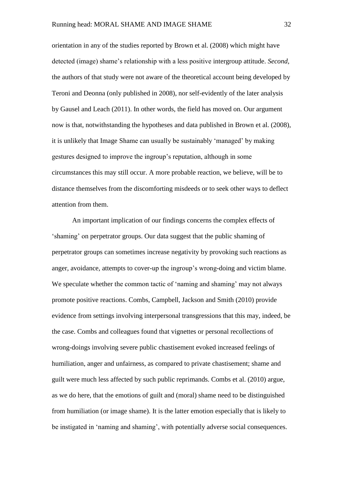orientation in any of the studies reported by Brown et al. (2008) which might have detected (image) shame's relationship with a less positive intergroup attitude. *Second*, the authors of that study were not aware of the theoretical account being developed by Teroni and Deonna (only published in 2008), nor self-evidently of the later analysis by Gausel and Leach (2011). In other words, the field has moved on. Our argument now is that, notwithstanding the hypotheses and data published in Brown et al. (2008), it is unlikely that Image Shame can usually be sustainably 'managed' by making gestures designed to improve the ingroup's reputation, although in some circumstances this may still occur. A more probable reaction, we believe, will be to distance themselves from the discomforting misdeeds or to seek other ways to deflect attention from them.

An important implication of our findings concerns the complex effects of 'shaming' on perpetrator groups. Our data suggest that the public shaming of perpetrator groups can sometimes increase negativity by provoking such reactions as anger, avoidance, attempts to cover-up the ingroup's wrong-doing and victim blame. We speculate whether the common tactic of 'naming and shaming' may not always promote positive reactions. Combs, Campbell, Jackson and Smith (2010) provide evidence from settings involving interpersonal transgressions that this may, indeed, be the case. Combs and colleagues found that vignettes or personal recollections of wrong-doings involving severe public chastisement evoked increased feelings of humiliation, anger and unfairness, as compared to private chastisement; shame and guilt were much less affected by such public reprimands. Combs et al. (2010) argue, as we do here, that the emotions of guilt and (moral) shame need to be distinguished from humiliation (or image shame). It is the latter emotion especially that is likely to be instigated in 'naming and shaming', with potentially adverse social consequences.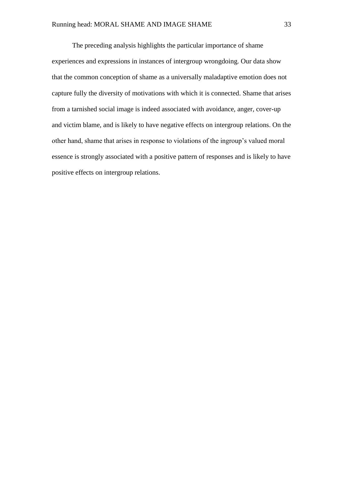The preceding analysis highlights the particular importance of shame experiences and expressions in instances of intergroup wrongdoing. Our data show that the common conception of shame as a universally maladaptive emotion does not capture fully the diversity of motivations with which it is connected. Shame that arises from a tarnished social image is indeed associated with avoidance, anger, cover-up and victim blame, and is likely to have negative effects on intergroup relations. On the other hand, shame that arises in response to violations of the ingroup's valued moral essence is strongly associated with a positive pattern of responses and is likely to have positive effects on intergroup relations.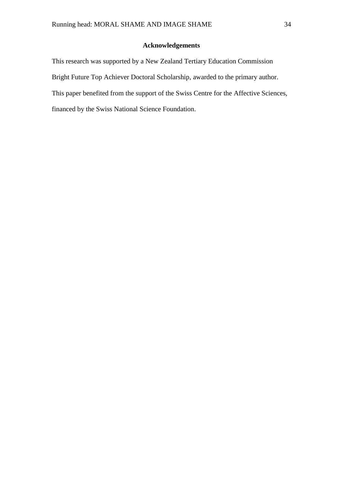#### **Acknowledgements**

This research was supported by a New Zealand Tertiary Education Commission Bright Future Top Achiever Doctoral Scholarship, awarded to the primary author. This paper benefited from the support of the Swiss Centre for the Affective Sciences, financed by the Swiss National Science Foundation.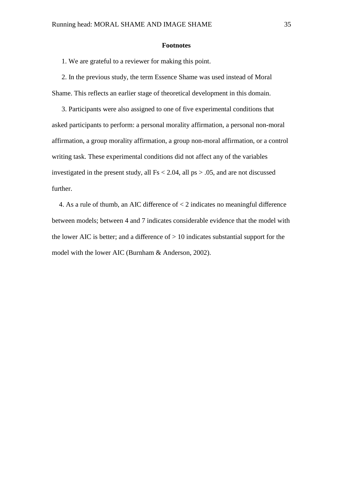#### **Footnotes**

1. We are grateful to a reviewer for making this point.

2. In the previous study, the term Essence Shame was used instead of Moral Shame. This reflects an earlier stage of theoretical development in this domain.

3. Participants were also assigned to one of five experimental conditions that asked participants to perform: a personal morality affirmation, a personal non-moral affirmation, a group morality affirmation, a group non-moral affirmation, or a control writing task. These experimental conditions did not affect any of the variables investigated in the present study, all  $Fs < 2.04$ , all  $ps > .05$ , and are not discussed further.

4. As a rule of thumb, an AIC difference of < 2 indicates no meaningful difference between models; between 4 and 7 indicates considerable evidence that the model with the lower AIC is better; and a difference of  $> 10$  indicates substantial support for the model with the lower AIC (Burnham & Anderson, 2002).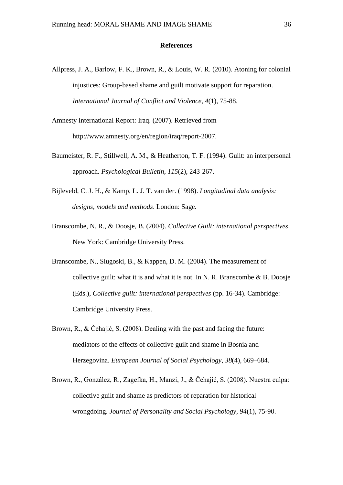#### **References**

- Allpress, J. A., Barlow, F. K., Brown, R., & Louis, W. R. (2010). Atoning for colonial injustices: Group-based shame and guilt motivate support for reparation. *International Journal of Conflict and Violence*, *4*(1), 75-88.
- Amnesty International Report: Iraq. (2007). Retrieved from http://www.amnesty.org/en/region/iraq/report-2007.
- Baumeister, R. F., Stillwell, A. M., & Heatherton, T. F. (1994). Guilt: an interpersonal approach. *Psychological Bulletin*, *115*(2), 243-267.
- Bijleveld, C. J. H., & Kamp, L. J. T. van der. (1998). *Longitudinal data analysis: designs, models and methods*. London: Sage.
- Branscombe, N. R., & Doosje, B. (2004). *Collective Guilt: international perspectives*. New York: Cambridge University Press.
- Branscombe, N., Slugoski, B., & Kappen, D. M. (2004). The measurement of collective guilt: what it is and what it is not. In N. R. Branscombe & B. Doosje (Eds.), *Collective guilt: international perspectives* (pp. 16-34). Cambridge: Cambridge University Press.
- Brown, R., & Čehajić, S. (2008). Dealing with the past and facing the future: mediators of the effects of collective guilt and shame in Bosnia and Herzegovina. *European Journal of Social Psychology*, *38*(4), 669–684.
- Brown, R., González, R., Zagefka, H., Manzi, J., & Čehajić, S. (2008). Nuestra culpa: collective guilt and shame as predictors of reparation for historical wrongdoing. *Journal of Personality and Social Psychology*, *94*(1), 75-90.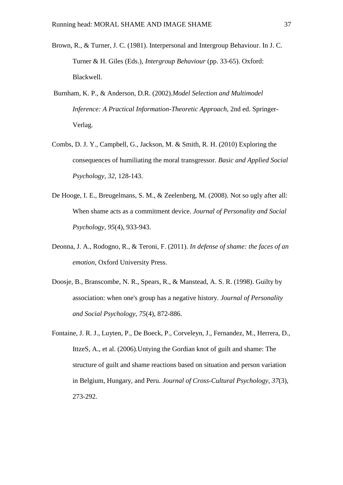- Brown, R., & Turner, J. C. (1981). Interpersonal and Intergroup Behaviour. In J. C. Turner & H. Giles (Eds.), *Intergroup Behaviour* (pp. 33-65). Oxford: Blackwell.
- Burnham, K. P., & Anderson, D.R. (2002).*Model Selection and Multimodel Inference: A Practical Information-Theoretic Approach*, 2nd ed. Springer-Verlag.
- Combs, D. J. Y., Campbell, G., Jackson, M. & Smith, R. H. (2010) Exploring the consequences of humiliating the moral transgressor. *Basic and Applied Social Psychology, 32,* 128-143.
- De Hooge, I. E., Breugelmans, S. M., & Zeelenberg, M. (2008). Not so ugly after all: When shame acts as a commitment device. *Journal of Personality and Social Psychology*, *95*(4), 933-943.
- Deonna, J. A., Rodogno, R., & Teroni, F. (2011). *In defense of shame: the faces of an emotion*, Oxford University Press.
- Doosje, B., Branscombe, N. R., Spears, R., & Manstead, A. S. R. (1998). Guilty by association: when one's group has a negative history. *Journal of Personality and Social Psychology*, *75*(4), 872-886.
- Fontaine, J. R. J., Luyten, P., De Boeck, P., Corveleyn, J., Fernandez, M., Herrera, D., IttzeS, A., et al. (2006).Untying the Gordian knot of guilt and shame: The structure of guilt and shame reactions based on situation and person variation in Belgium, Hungary, and Peru. *Journal of Cross-Cultural Psychology*, *37*(3), 273-292.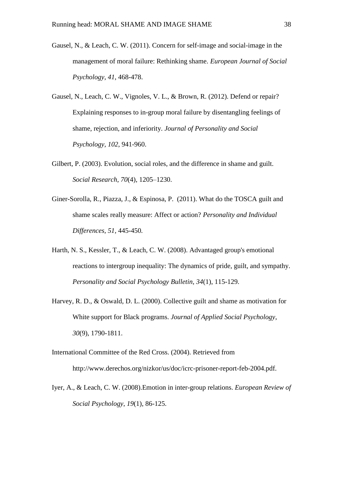- Gausel, N., & Leach, C. W. (2011). Concern for self-image and social-image in the management of moral failure: Rethinking shame. *European Journal of Social Psychology, 41*, 468-478.
- Gausel, N., Leach, C. W., Vignoles, V. L., & Brown, R. (2012). Defend or repair? Explaining responses to in-group moral failure by disentangling feelings of shame, rejection, and inferiority. *Journal of Personality and Social Psychology, 102*, 941-960.
- Gilbert, P. (2003). Evolution, social roles, and the difference in shame and guilt. *Social Research*, *70*(4), 1205–1230.
- Giner-Sorolla, R., Piazza, J., & Espinosa, P. (2011). What do the TOSCA guilt and shame scales really measure: Affect or action? *Personality and Individual Differences, 51,* 445-450*.*
- Harth, N. S., Kessler, T., & Leach, C. W. (2008). Advantaged group's emotional reactions to intergroup inequality: The dynamics of pride, guilt, and sympathy. *Personality and Social Psychology Bulletin*, *34*(1), 115-129.
- Harvey, R. D., & Oswald, D. L. (2000). Collective guilt and shame as motivation for White support for Black programs. *Journal of Applied Social Psychology*, *30*(9), 1790-1811.
- International Committee of the Red Cross. (2004). Retrieved from http://www.derechos.org/nizkor/us/doc/icrc-prisoner-report-feb-2004.pdf.
- Iyer, A., & Leach, C. W. (2008).Emotion in inter-group relations. *European Review of Social Psychology*, *19*(1), 86-125.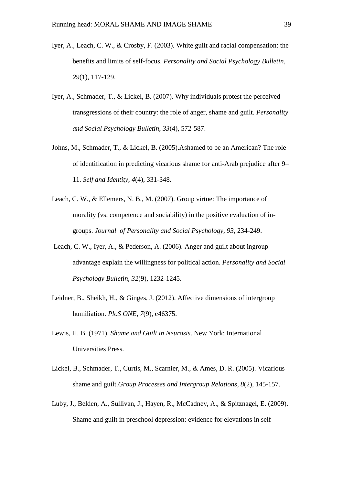- Iyer, A., Leach, C. W., & Crosby, F. (2003). White guilt and racial compensation: the benefits and limits of self-focus. *Personality and Social Psychology Bulletin*, *29*(1), 117-129.
- Iyer, A., Schmader, T., & Lickel, B. (2007). Why individuals protest the perceived transgressions of their country: the role of anger, shame and guilt. *Personality and Social Psychology Bulletin*, *33*(4), 572-587.
- Johns, M., Schmader, T., & Lickel, B. (2005).Ashamed to be an American? The role of identification in predicting vicarious shame for anti-Arab prejudice after 9– 11. *Self and Identity*, *4*(4), 331-348.
- Leach, C. W., & Ellemers, N. B., M. (2007). Group virtue: The importance of morality (vs. competence and sociability) in the positive evaluation of ingroups. *Journal of Personality and Social Psychology, 93*, 234-249.
- Leach, C. W., Iyer, A., & Pederson, A. (2006). Anger and guilt about ingroup advantage explain the willingness for political action. *Personality and Social Psychology Bulletin*, *32*(9), 1232-1245.
- Leidner, B., Sheikh, H., & Ginges, J. (2012). Affective dimensions of intergroup humiliation. *PloS ONE*, *7*(9), e46375.
- Lewis, H. B. (1971). *Shame and Guilt in Neurosis*. New York: International Universities Press.
- Lickel, B., Schmader, T., Curtis, M., Scarnier, M., & Ames, D. R. (2005). Vicarious shame and guilt.*Group Processes and Intergroup Relations*, *8*(2), 145-157.
- Luby, J., Belden, A., Sullivan, J., Hayen, R., McCadney, A., & Spitznagel, E. (2009). Shame and guilt in preschool depression: evidence for elevations in self-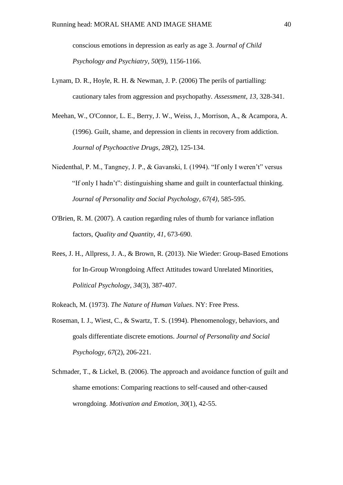conscious emotions in depression as early as age 3. *Journal of Child Psychology and Psychiatry*, *50*(9), 1156-1166.

- Lynam, D. R., Hoyle, R. H. & Newman, J. P. (2006) The perils of partialling: cautionary tales from aggression and psychopathy. *Assessment, 13,* 328-341.
- Meehan, W., O'Connor, L. E., Berry, J. W., Weiss, J., Morrison, A., & Acampora, A. (1996). Guilt, shame, and depression in clients in recovery from addiction. *Journal of Psychoactive Drugs*, *28*(2), 125-134.
- Niedenthal, P. M., Tangney, J. P., & Gavanski, I. (1994). "If only I weren't" versus "If only I hadn't": distinguishing shame and guilt in counterfactual thinking. *Journal of Personality and Social Psychology, 67(4)*, 585-595.
- O'Brien, R. M. (2007). A caution regarding rules of thumb for variance inflation factors, *Quality and Quantity*, *41*, 673-690.
- Rees, J. H., Allpress, J. A., & Brown, R. (2013). Nie Wieder: Group-Based Emotions for In-Group Wrongdoing Affect Attitudes toward Unrelated Minorities, *Political Psychology*, *34*(3), 387-407.

Rokeach, M. (1973). *The Nature of Human Values*. NY: Free Press.

- Roseman, I. J., Wiest, C., & Swartz, T. S. (1994). Phenomenology, behaviors, and goals differentiate discrete emotions. *Journal of Personality and Social Psychology*, *67*(2), 206-221.
- Schmader, T., & Lickel, B. (2006). The approach and avoidance function of guilt and shame emotions: Comparing reactions to self-caused and other-caused wrongdoing. *Motivation and Emotion*, *30*(1), 42-55.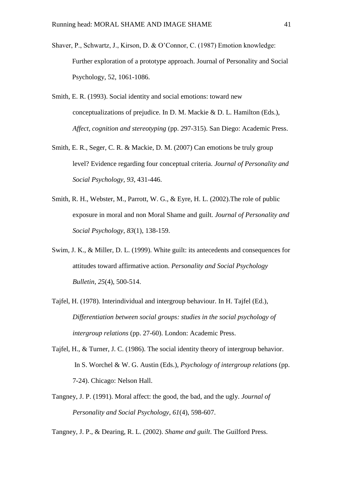- Shaver, P., Schwartz, J., Kirson, D. & O'Connor, C. (1987) Emotion knowledge: Further exploration of a prototype approach. Journal of Personality and Social Psychology, 52, 1061-1086.
- Smith, E. R. (1993). Social identity and social emotions: toward new conceptualizations of prejudice. In D. M. Mackie & D. L. Hamilton (Eds.), *Affect, cognition and stereotyping* (pp. 297-315). San Diego: Academic Press.
- Smith, E. R., Seger, C. R. & Mackie, D. M. (2007) Can emotions be truly group level? Evidence regarding four conceptual criteria. *Journal of Personality and Social Psychology, 93*, 431-446.
- Smith, R. H., Webster, M., Parrott, W. G., & Eyre, H. L. (2002).The role of public exposure in moral and non Moral Shame and guilt. *Journal of Personality and Social Psychology*, *83*(1), 138-159.
- Swim, J. K., & Miller, D. L. (1999). White guilt: its antecedents and consequences for attitudes toward affirmative action. *Personality and Social Psychology Bulletin*, *25*(4), 500-514.
- Tajfel, H. (1978). Interindividual and intergroup behaviour. In H. Tajfel (Ed.), *Differentiation between social groups: studies in the social psychology of intergroup relations* (pp. 27-60). London: Academic Press.
- Tajfel, H., & Turner, J. C. (1986). The social identity theory of intergroup behavior. In S. Worchel & W. G. Austin (Eds.), *Psychology of intergroup relations* (pp. 7-24). Chicago: Nelson Hall.
- Tangney, J. P. (1991). Moral affect: the good, the bad, and the ugly. *Journal of Personality and Social Psychology*, *61*(4), 598-607.

Tangney, J. P., & Dearing, R. L. (2002). *Shame and guilt*. The Guilford Press.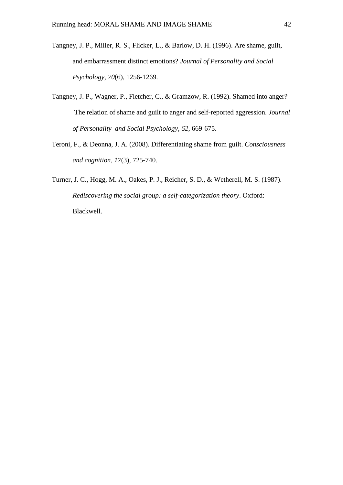- Tangney, J. P., Miller, R. S., Flicker, L., & Barlow, D. H. (1996). Are shame, guilt, and embarrassment distinct emotions? *Journal of Personality and Social Psychology*, *70*(6), 1256-1269.
- Tangney, J. P., Wagner, P., Fletcher, C., & Gramzow, R. (1992). Shamed into anger? The relation of shame and guilt to anger and self-reported aggression. *Journal of Personality and Social Psychology, 62*, 669-675.
- Teroni, F., & Deonna, J. A. (2008). Differentiating shame from guilt. *Consciousness and cognition*, *17*(3), 725-740.
- Turner, J. C., Hogg, M. A., Oakes, P. J., Reicher, S. D., & Wetherell, M. S. (1987). *Rediscovering the social group: a self-categorization theory*. Oxford: Blackwell.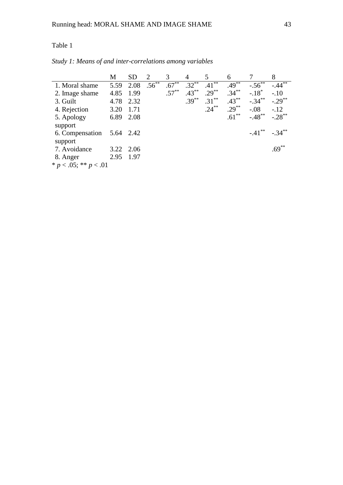|                            | M         | SD.  | 2          | 3        | $\overline{4}$ |          | 6        |             | 8         |
|----------------------------|-----------|------|------------|----------|----------------|----------|----------|-------------|-----------|
| 1. Moral shame             | 5.59      | 2.08 | $.56^{**}$ | $.67***$ | $.32***$       | $.41***$ | $.49***$ | $-.56^{**}$ | $-.44***$ |
| 2. Image shame             | 4.85      | 1.99 |            | $.57***$ | $.43***$       | $.29***$ | $.34***$ | $-.18*$     | $-.10$    |
| 3. Guilt                   | 4.78      | 2.32 |            |          | $.39***$       | $.31***$ | $.43***$ | $-.34***$   | $-.29***$ |
| 4. Rejection               | 3.20      | 1.71 |            |          |                | $.24***$ | $.29***$ | $-.08$      | $-.12$    |
| 5. Apology                 | 6.89      | 2.08 |            |          |                |          | $.61***$ | $-.48$ **   | $-.28$ ** |
| support                    |           |      |            |          |                |          |          |             |           |
| 6. Compensation 5.64 2.42  |           |      |            |          |                |          |          | $-.41***$   | $-34***$  |
| support                    |           |      |            |          |                |          |          |             |           |
| 7. Avoidance               | 3.22 2.06 |      |            |          |                |          |          |             | $.69***$  |
| 8. Anger                   | 2.95 1.97 |      |            |          |                |          |          |             |           |
| * $p < .05$ ; ** $p < .01$ |           |      |            |          |                |          |          |             |           |

# *Study 1: Means of and inter-correlations among variables*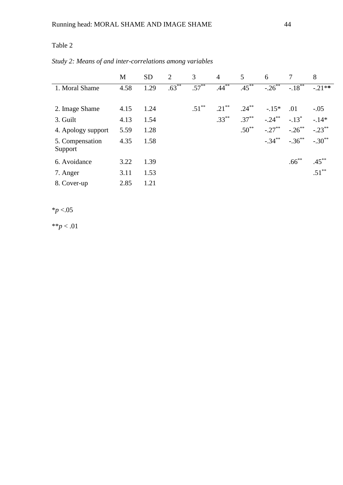|  | Study 2: Means of and inter-correlations among variables |  |
|--|----------------------------------------------------------|--|
|  |                                                          |  |

|                    | M    | <b>SD</b> | 2        | 3        | $\overline{4}$ | 5          | 6         | 7                   | 8         |
|--------------------|------|-----------|----------|----------|----------------|------------|-----------|---------------------|-----------|
| 1. Moral Shame     | 4.58 | 1.29      | $.63***$ | $.57***$ | $.44***$       | $.45***$   | $-.26***$ | $-18^{**}$          | $-21**$   |
|                    |      |           |          |          |                |            |           |                     |           |
| 2. Image Shame     | 4.15 | 1.24      |          | $.51***$ | $.21***$       | $.24***$   | $-.15*$   | .01                 | $-.05$    |
| 3. Guilt           | 4.13 | 1.54      |          |          | $.33***$       | $.37***$   | $-.24***$ | $-.13$ <sup>*</sup> | $-14*$    |
| 4. Apology support | 5.59 | 1.28      |          |          |                | $.50^{**}$ | $-.27***$ | $-.26$ **           | $-.23***$ |
| 5. Compensation    | 4.35 | 1.58      |          |          |                |            | $-.34***$ | $-.36***$           | $-.30**$  |
| Support            |      |           |          |          |                |            |           |                     |           |
| 6. Avoidance       | 3.22 | 1.39      |          |          |                |            |           | $.66***$            | $.45***$  |
| 7. Anger           | 3.11 | 1.53      |          |          |                |            |           |                     | $.51***$  |
| 8. Cover-up        | 2.85 | 1.21      |          |          |                |            |           |                     |           |

 $*_{p}$  <.05

\*\**p* < .01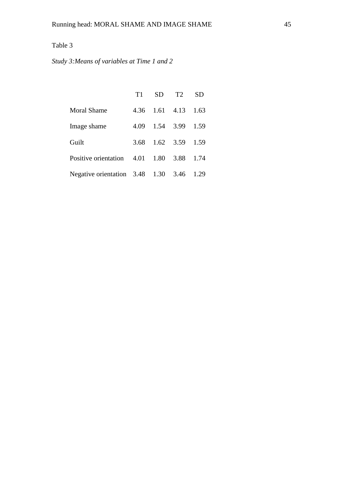*Study 3:Means of variables at Time 1 and 2*

|                                          | T1   | SD. | T2                   | <b>SD</b> |
|------------------------------------------|------|-----|----------------------|-----------|
| <b>Moral Shame</b>                       |      |     | 4.36 1.61 4.13 1.63  |           |
| Image shame                              |      |     | 4.09 1.54 3.99 1.59  |           |
| Guilt                                    | 3.68 |     | $1.62$ $3.59$ $1.59$ |           |
| Positive orientation 4.01 1.80 3.88      |      |     |                      | 1.74      |
| Negative orientation 3.48 1.30 3.46 1.29 |      |     |                      |           |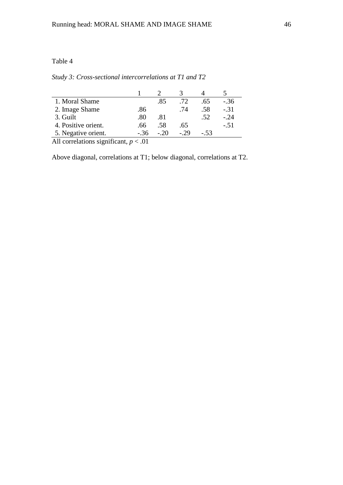*Study 3: Cross-sectional intercorrelations at T1 and T2*

| 1. Moral Shame                       |          | .85   | .72   | .65    | $-.36$ |
|--------------------------------------|----------|-------|-------|--------|--------|
| 2. Image Shame                       | .86      |       | .74   | .58    | $-.31$ |
| 3. Guilt                             | .80      | .81   |       | .52    | $-.24$ |
| 4. Positive orient.                  | .66      | .58   | .65   |        | $-.51$ |
| 5. Negative orient.                  | - 36     | $-20$ | $-29$ | $-.53$ |        |
| $\lambda$ 11 $\lambda$ 1 $\lambda$ 1 | $\Omega$ |       |       |        |        |

All correlations significant, *p* < .01

Above diagonal, correlations at T1; below diagonal, correlations at T2.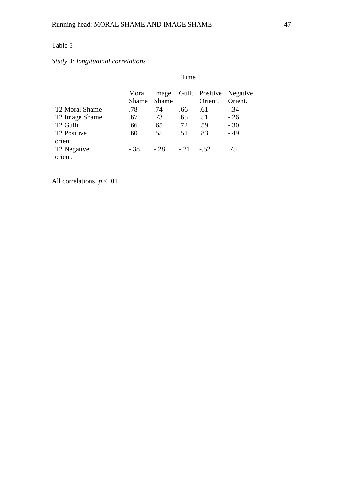# *Study 3: longitudinal correlations*

|                                    | Time 1                |                |        |                           |                     |  |  |
|------------------------------------|-----------------------|----------------|--------|---------------------------|---------------------|--|--|
|                                    | Moral<br><b>Shame</b> | Image<br>Shame |        | Guilt Positive<br>Orient. | Negative<br>Orient. |  |  |
| T <sub>2</sub> Moral Shame         | .78                   | .74            | .66    | .61                       | $-.34$              |  |  |
| T2 Image Shame                     | .67                   | .73            | .65    | .51                       | $-.26$              |  |  |
| T <sub>2</sub> Guilt               | .66                   | .65            | .72    | .59                       | $-.30$              |  |  |
| T <sub>2</sub> Positive<br>orient. | .60                   | .55            | .51    | .83                       | $-.49$              |  |  |
| T <sub>2</sub> Negative<br>orient. | $-.38$                | $-.28$         | $-.21$ | $-.52$                    | .75                 |  |  |

All correlations, *p* < .01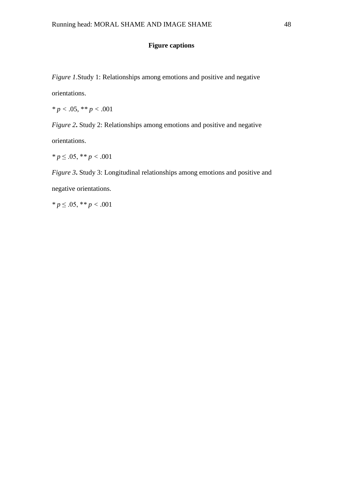## **Figure captions**

*Figure 1.Study 1: Relationships among emotions and positive and negative* 

orientations.

*\* p <* .05, \**\* p <* .001

*Figure 2***.** Study 2: Relationships among emotions and positive and negative

orientations.

*\* p* ≤ .05, \**\* p <* .001

*Figure 3***.** Study 3: Longitudinal relationships among emotions and positive and negative orientations.

*\* p* ≤ .05, \**\* p <* .001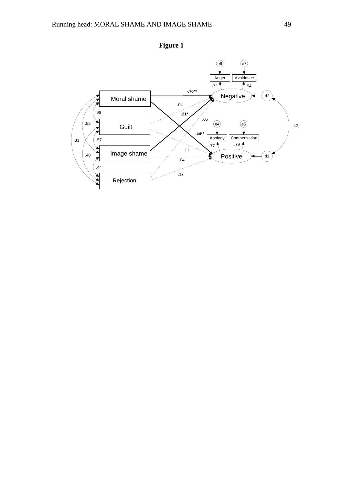

**Figure 1**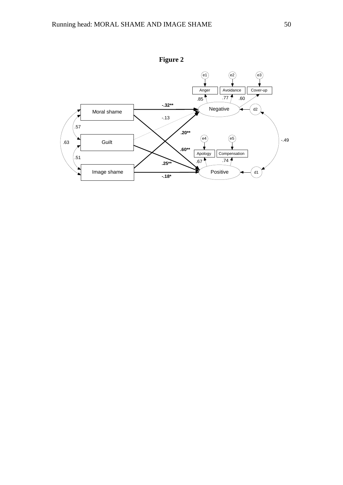